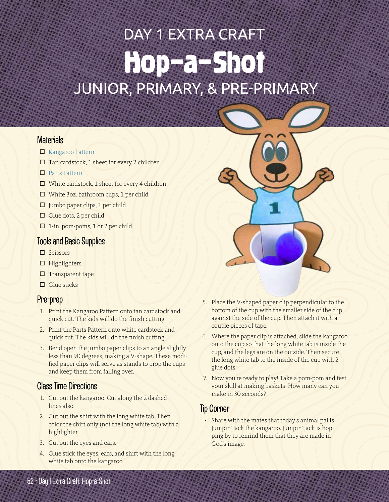# DAY 1 EXTRA CRAFT Hop-a-Shot JUNIOR, PRIMARY, & PRE-PRIMARY

#### **Materials**

- $\Box$  Kangaroo Pattern
- $\square$  Tan cardstock, 1 sheet for every 2 children
- **D** Parts Pattern
- White cardstock, 1 sheet for every 4 children
- White 3oz. bathroom cups, 1 per child
- $\Box$  Jumbo paper clips, 1 per child
- Glue dots, 2 per child
- □ 1-in. pom-poms, 1 or 2 per child

#### Tools and Basic Supplies

- **D** Scissors
- $\Box$  Highlighters
- $\square$  Transparent tape
- $\Box$  Glue sticks

## Pre-prep

- 1. Print the Kangaroo Pattern onto tan cardstock and quick cut. The kids will do the finish cutting.
- 2. Print the Parts Pattern onto white cardstock and quick cut. The kids will do the finish cutting.
- 3. Bend open the jumbo paper clips to an angle slightly less than 90 degrees, making a V-shape. These modified paper clips will serve as stands to prop the cups and keep them from falling over.

#### Class Time Directions

- 1. Cut out the kangaroo. Cut along the 2 dashed lines also.
- 2. Cut out the shirt with the long white tab. Then color the shirt only (not the long white tab) with a highlighter.
- 3. Cut out the eyes and ears.
- 4. Glue stick the eyes, ears, and shirt with the long white tab onto the kangaroo.



- 5. Place the V-shaped paper clip perpendicular to the bottom of the cup with the smaller side of the clip against the side of the cup. Then attach it with a couple pieces of tape.
- 6. Where the paper clip is attached, slide the kangaroo onto the cup so that the long white tab is inside the cup, and the legs are on the outside. Then secure the long white tab to the inside of the cup with 2 glue dots.
- 7. Now you're ready to play! Take a pom-pom and test your skill at making baskets. How many can you make in 30 seconds?

## Tip Corner

• Share with the mates that today's animal pal is Jumpin' Jack the kangaroo. Jumpin' Jack is hopping by to remind them that they are made in God's image.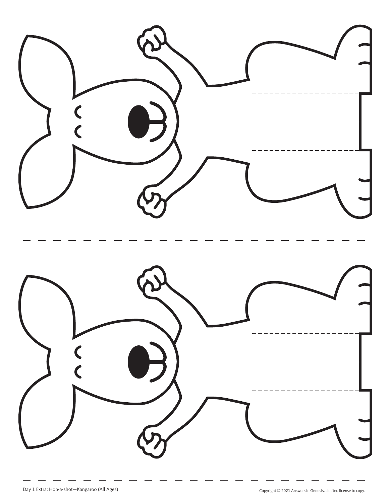